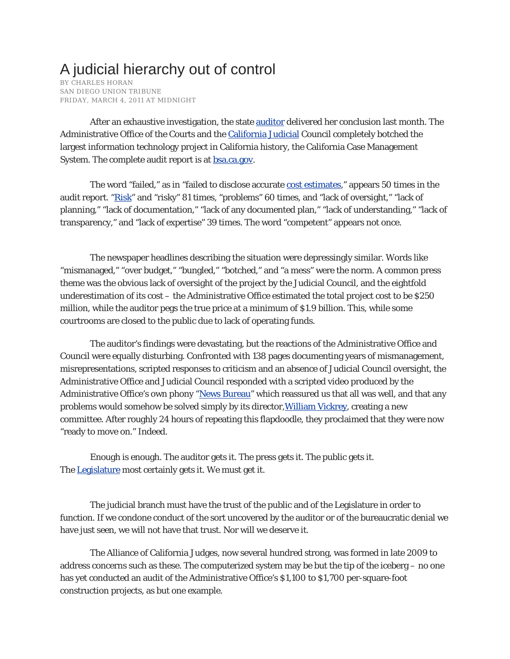## A judicial hierarchy out of control

BY CHARLES HORAN SAN DIEGO UNION TRIBUNE FRIDAY, MARCH 4, 2011 AT MIDNIGHT

After an exhaustive investigation, the state **auditor** delivered her conclusion last month. The Administrative Office of the Courts and the California Judicial Council completely botched the largest information technology project in California history, the California Case Management System. The complete audit report is at **bsa.ca.gov**.

The word "failed," as in "failed to disclose accurate cost estimates," appears 50 times in the audit report. "Risk" and "risky" 81 times, "problems" 60 times, and "lack of oversight," "lack of planning," "lack of documentation," "lack of any documented plan," "lack of understanding," "lack of transparency," and "lack of expertise" 39 times. The word "competent" appears not once.

The newspaper headlines describing the situation were depressingly similar. Words like "mismanaged," "over budget," "bungled," "botched," and "a mess" were the norm. A common press theme was the obvious lack of oversight of the project by the Judicial Council, and the eightfold underestimation of its cost – the Administrative Office estimated the total project cost to be \$250 million, while the auditor pegs the true price at a minimum of \$1.9 billion. This, while some courtrooms are closed to the public due to lack of operating funds.

The auditor's findings were devastating, but the reactions of the Administrative Office and Council were equally disturbing. Confronted with 138 pages documenting years of mismanagement, misrepresentations, scripted responses to criticism and an absence of Judicial Council oversight, the Administrative Office and Judicial Council responded with a scripted video produced by the Administrative Office's own phony "News Bureau" which reassured us that all was well, and that any problems would somehow be solved simply by its director, William Vickrey, creating a new committee. After roughly 24 hours of repeating this flapdoodle, they proclaimed that they were now "ready to move on." Indeed.

Enough is enough. The auditor gets it. The press gets it. The public gets it. The **Legislature** most certainly gets it. We must get it.

The judicial branch must have the trust of the public and of the Legislature in order to function. If we condone conduct of the sort uncovered by the auditor or of the bureaucratic denial we have just seen, we will not have that trust. Nor will we deserve it.

The Alliance of California Judges, now several hundred strong, was formed in late 2009 to address concerns such as these. The computerized system may be but the tip of the iceberg – no one has yet conducted an audit of the Administrative Office's \$1,100 to \$1,700 per-square-foot construction projects, as but one example.